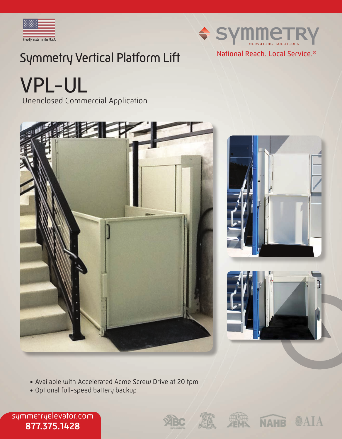



# Symmetry Vertical Platform Lift

VPL-UL

Unenclosed Commercial Application





- Available with Accelerated Acme Screw Drive at 20 fpm
- Optional full-speed battery backup

symmetryelevator.com 877.375.1428